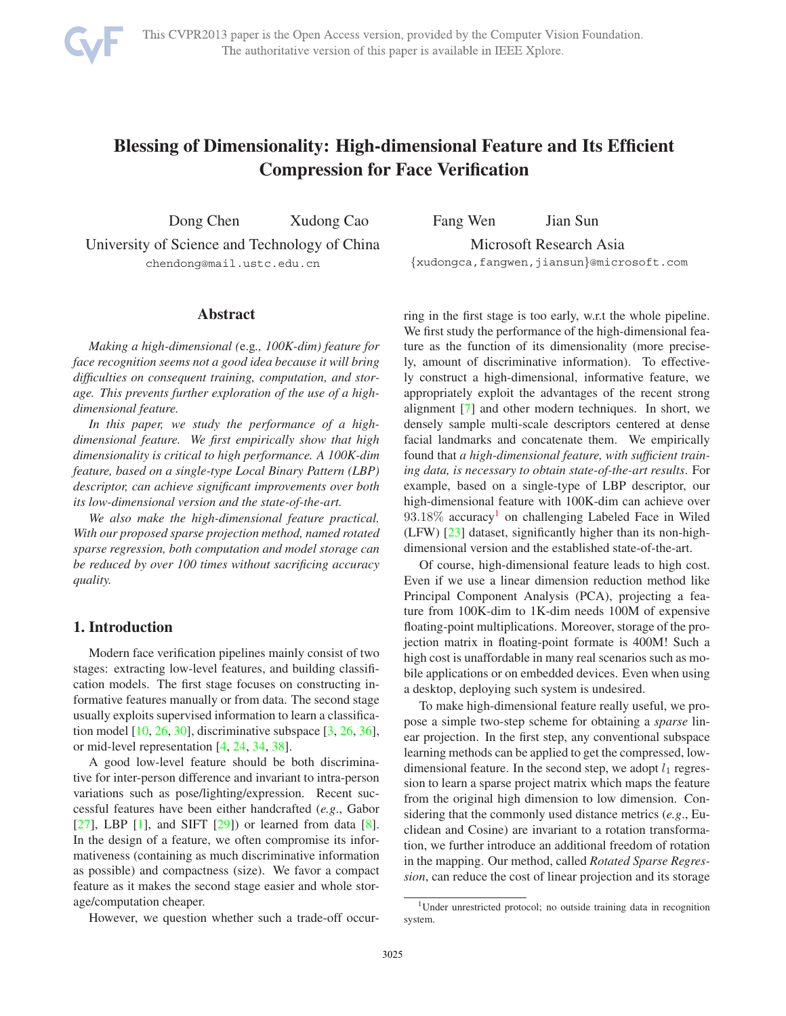

# **Blessing of Dimensionality: High-dimensional Feature and Its Efficient Compression for Face Verification**

Dong Chen Xudong Cao Fang Wen Jian Sun University of Science and Technology of China Microsoft Research Asia

chendong@mail.ustc.edu.cn {xudongca,fangwen,jiansun}@microsoft.com

#### **Abstract**

*Making a high-dimensional (*e.g*., 100K-dim) feature for face recognition seems not a good idea because it will bring difficulties on consequent training, computation, and storage. This prevents further exploration of the use of a highdimensional feature.*

*In this paper, we study the performance of a highdimensional feature. We first empirically show that high dimensionality is critical to high performance. A 100K-dim feature, based on a single-type Local Binary Pattern (LBP) descriptor, can achieve significant improvements over both its low-dimensional version and the state-of-the-art.*

*We also make the high-dimensional feature practical. With our proposed sparse projection method, named rotated sparse regression, both computation and model storage can be reduced by over 100 times without sacrificing accuracy quality.*

# **1. Introduction**

Modern face verification pipelines mainly consist of two stages: extracting low-level features, and building classification models. The first stage focuses on constructing informative features manually or from data. The second stage usually exploits supervised information to learn a classification model  $[10, 26, 30]$ , discriminative subspace  $[3, 26, 36]$ , or mid-level representation [4, 24, 34, 38].

A good low-level feature should be both discriminative for inter-person difference and invariant to intra-person variations such as pose/lighting/expression. Recent successful features have been either handcrafted (*e.g*., Gabor  $[27]$ , LBP  $[1]$ , and SIFT  $[29]$ ) or learned from data  $[8]$ . In the design of a feature, we often compromise its informativeness (containing as much discriminative information as possible) and compactness (size). We favor a compact feature as it makes the second stage easier and whole storage/computation cheaper.

However, we question whether such a trade-off occur-

ring in the first stage is too early, w.r.t the whole pipeline. We first study the performance of the high-dimensional feature as the function of its dimensionality (more precisely, amount of discriminative information). To effectively construct a high-dimensional, informative feature, we appropriately exploit the advantages of the recent strong alignment [7] and other modern techniques. In short, we densely sample multi-scale descriptors centered at dense facial landmarks and concatenate them. We empirically found that *a high-dimensional feature, with sufficient training data, is necessary to obtain state-of-the-art results*. For example, based on a single-type of LBP descriptor, our high-dimensional feature with 100K-dim can achieve over  $93.18\%$  accuracy<sup>1</sup> on challenging Labeled Face in Wiled (LFW) [23] dataset, significantly higher than its non-highdimensional version and the established state-of-the-art.

Of course, high-dimensional feature leads to high cost. Even if we use a linear dimension reduction method like Principal Component Analysis (PCA), projecting a feature from 100K-dim to 1K-dim needs 100M of expensive floating-point multiplications. Moreover, storage of the projection matrix in floating-point formate is 400M! Such a high cost is unaffordable in many real scenarios such as mobile applications or on embedded devices. Even when using a desktop, deploying such system is undesired.

To make high-dimensional feature really useful, we propose a simple two-step scheme for obtaining a *sparse* linear projection. In the first step, any conventional subspace learning methods can be applied to get the compressed, lowdimensional feature. In the second step, we adopt  $l_1$  regression to learn a sparse project matrix which maps the feature from the original high dimension to low dimension. Considering that the commonly used distance metrics (*e.g*., Euclidean and Cosine) are invariant to a rotation transformation, we further introduce an additional freedom of rotation in the mapping. Our method, called *Rotated Sparse Regression*, can reduce the cost of linear projection and its storage

<sup>1</sup>Under unrestricted protocol; no outside training data in recognition system.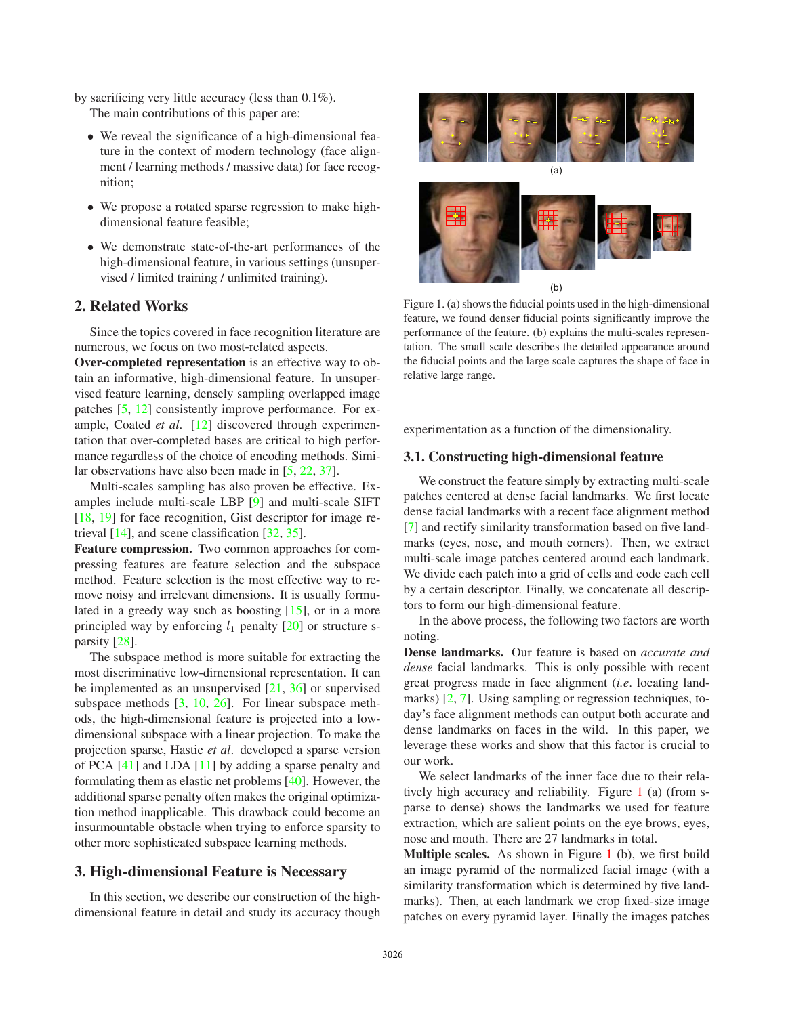by sacrificing very little accuracy (less than 0.1%).

The main contributions of this paper are:

- ∙ We reveal the significance of a high-dimensional feature in the context of modern technology (face alignment / learning methods / massive data) for face recognition;
- ∙ We propose a rotated sparse regression to make highdimensional feature feasible;
- ∙ We demonstrate state-of-the-art performances of the high-dimensional feature, in various settings (unsupervised / limited training / unlimited training).

# **2. Related Works**

Since the topics covered in face recognition literature are numerous, we focus on two most-related aspects.

**Over-completed representation** is an effective way to obtain an informative, high-dimensional feature. In unsupervised feature learning, densely sampling overlapped image patches [5, 12] consistently improve performance. For example, Coated *et al*. [12] discovered through experimentation that over-completed bases are critical to high performance regardless of the choice of encoding methods. Similar observations have also been made in [5, 22, 37].

Multi-scales sampling has also proven be effective. Examples include multi-scale LBP [9] and multi-scale SIFT [18, 19] for face recognition, Gist descriptor for image retrieval [14], and scene classification [32, 35].

**Feature compression.** Two common approaches for compressing features are feature selection and the subspace method. Feature selection is the most effective way to remove noisy and irrelevant dimensions. It is usually formulated in a greedy way such as boosting [15], or in a more principled way by enforcing  $l_1$  penalty [20] or structure sparsity [28].

The subspace method is more suitable for extracting the most discriminative low-dimensional representation. It can be implemented as an unsupervised  $[21, 36]$  or supervised subspace methods [3, 10, 26]. For linear subspace methods, the high-dimensional feature is projected into a lowdimensional subspace with a linear projection. To make the projection sparse, Hastie *et al*. developed a sparse version of PCA [41] and LDA [11] by adding a sparse penalty and formulating them as elastic net problems [40]. However, the additional sparse penalty often makes the original optimization method inapplicable. This drawback could become an insurmountable obstacle when trying to enforce sparsity to other more sophisticated subspace learning methods.

# **3. High-dimensional Feature is Necessary**

In this section, we describe our construction of the highdimensional feature in detail and study its accuracy though



Figure 1. (a) shows the fiducial points used in the high-dimensional feature, we found denser fiducial points significantly improve the performance of the feature. (b) explains the multi-scales representation. The small scale describes the detailed appearance around the fiducial points and the large scale captures the shape of face in relative large range.

experimentation as a function of the dimensionality.

#### **3.1. Constructing high-dimensional feature**

We construct the feature simply by extracting multi-scale patches centered at dense facial landmarks. We first locate dense facial landmarks with a recent face alignment method [7] and rectify similarity transformation based on five landmarks (eyes, nose, and mouth corners). Then, we extract multi-scale image patches centered around each landmark. We divide each patch into a grid of cells and code each cell by a certain descriptor. Finally, we concatenate all descriptors to form our high-dimensional feature.

In the above process, the following two factors are worth noting.

**Dense landmarks.** Our feature is based on *accurate and dense* facial landmarks. This is only possible with recent great progress made in face alignment (*i.e*. locating landmarks) [2, 7]. Using sampling or regression techniques, today's face alignment methods can output both accurate and dense landmarks on faces in the wild. In this paper, we leverage these works and show that this factor is crucial to our work.

We select landmarks of the inner face due to their relatively high accuracy and reliability. Figure 1 (a) (from sparse to dense) shows the landmarks we used for feature extraction, which are salient points on the eye brows, eyes, nose and mouth. There are 27 landmarks in total.

**Multiple scales.** As shown in Figure 1 (b), we first build an image pyramid of the normalized facial image (with a similarity transformation which is determined by five landmarks). Then, at each landmark we crop fixed-size image patches on every pyramid layer. Finally the images patches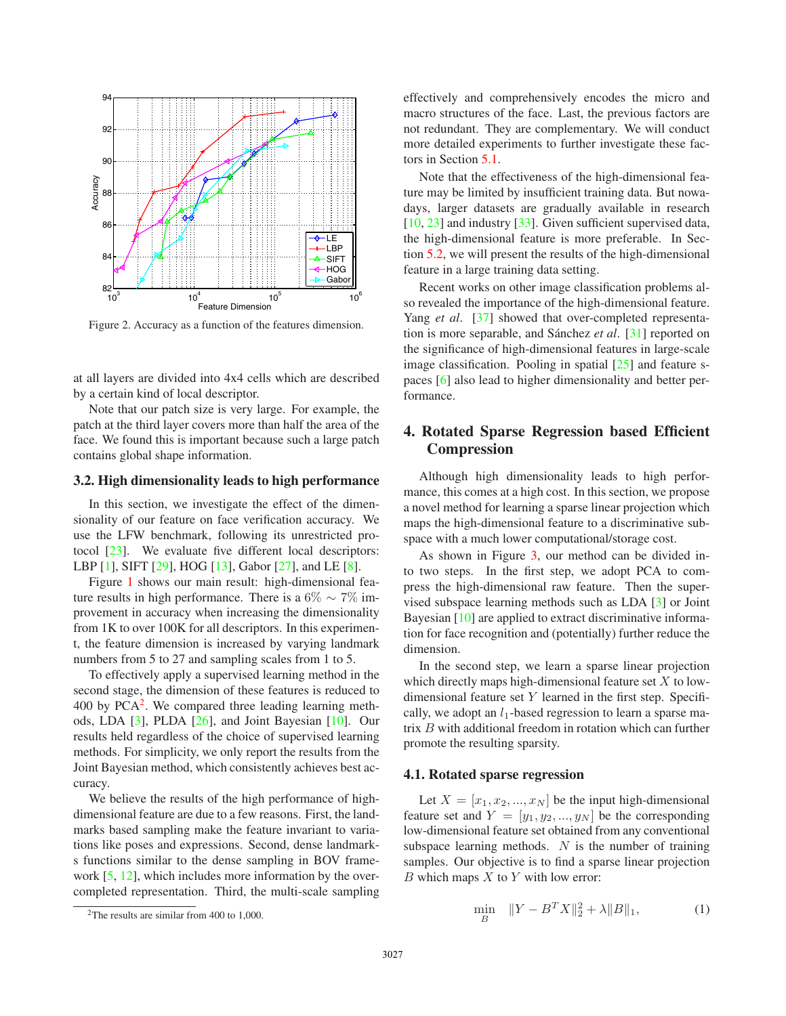

Figure 2. Accuracy as a function of the features dimension.

at all layers are divided into 4x4 cells which are described by a certain kind of local descriptor.

Note that our patch size is very large. For example, the patch at the third layer covers more than half the area of the face. We found this is important because such a large patch contains global shape information.

#### **3.2. High dimensionality leads to high performance**

In this section, we investigate the effect of the dimensionality of our feature on face verification accuracy. We use the LFW benchmark, following its unrestricted protocol [23]. We evaluate five different local descriptors: LBP [1], SIFT [29], HOG [13], Gabor [27], and LE [8].

Figure 1 shows our main result: high-dimensional feature results in high performance. There is a 6%  $\sim$  7% improvement in accuracy when increasing the dimensionality from 1K to over 100K for all descriptors. In this experiment, the feature dimension is increased by varying landmark numbers from 5 to 27 and sampling scales from 1 to 5.

To effectively apply a supervised learning method in the second stage, the dimension of these features is reduced to 400 by  $PCA<sup>2</sup>$ . We compared three leading learning methods, LDA [3], PLDA [26], and Joint Bayesian [10]. Our results held regardless of the choice of supervised learning methods. For simplicity, we only report the results from the Joint Bayesian method, which consistently achieves best accuracy.

We believe the results of the high performance of highdimensional feature are due to a few reasons. First, the landmarks based sampling make the feature invariant to variations like poses and expressions. Second, dense landmarks functions similar to the dense sampling in BOV framework  $[5, 12]$ , which includes more information by the overcompleted representation. Third, the multi-scale sampling effectively and comprehensively encodes the micro and macro structures of the face. Last, the previous factors are not redundant. They are complementary. We will conduct more detailed experiments to further investigate these factors in Section 5.1.

Note that the effectiveness of the high-dimensional feature may be limited by insufficient training data. But nowadays, larger datasets are gradually available in research  $[10, 23]$  and industry  $[33]$ . Given sufficient supervised data, the high-dimensional feature is more preferable. In Section 5.2, we will present the results of the high-dimensional feature in a large training data setting.

Recent works on other image classification problems also revealed the importance of the high-dimensional feature. Yang *et al.* [37] showed that over-completed representation is more separable, and Sánchez *et al.* [31] reported on the significance of high-dimensional features in large-scale image classification. Pooling in spatial  $[25]$  and feature spaces [6] also lead to higher dimensionality and better performance.

# **4. Rotated Sparse Regression based Efficient Compression**

Although high dimensionality leads to high performance, this comes at a high cost. In this section, we propose a novel method for learning a sparse linear projection which maps the high-dimensional feature to a discriminative subspace with a much lower computational/storage cost.

As shown in Figure 3, our method can be divided into two steps. In the first step, we adopt PCA to compress the high-dimensional raw feature. Then the supervised subspace learning methods such as LDA [3] or Joint Bayesian [10] are applied to extract discriminative information for face recognition and (potentially) further reduce the dimension.

In the second step, we learn a sparse linear projection which directly maps high-dimensional feature set  $X$  to lowdimensional feature set  $Y$  learned in the first step. Specifically, we adopt an  $l_1$ -based regression to learn a sparse matrix  $B$  with additional freedom in rotation which can further promote the resulting sparsity.

## **4.1. Rotated sparse regression**

Let  $X = [x_1, x_2, ..., x_N]$  be the input high-dimensional feature set and  $Y = [y_1, y_2, ..., y_N]$  be the corresponding low-dimensional feature set obtained from any conventional subspace learning methods.  $N$  is the number of training samples. Our objective is to find a sparse linear projection  $B$  which maps  $X$  to  $Y$  with low error:

$$
\min_{B} \quad \|Y - B^T X\|_2^2 + \lambda \|B\|_1,\tag{1}
$$

<sup>&</sup>lt;sup>2</sup>The results are similar from 400 to 1,000.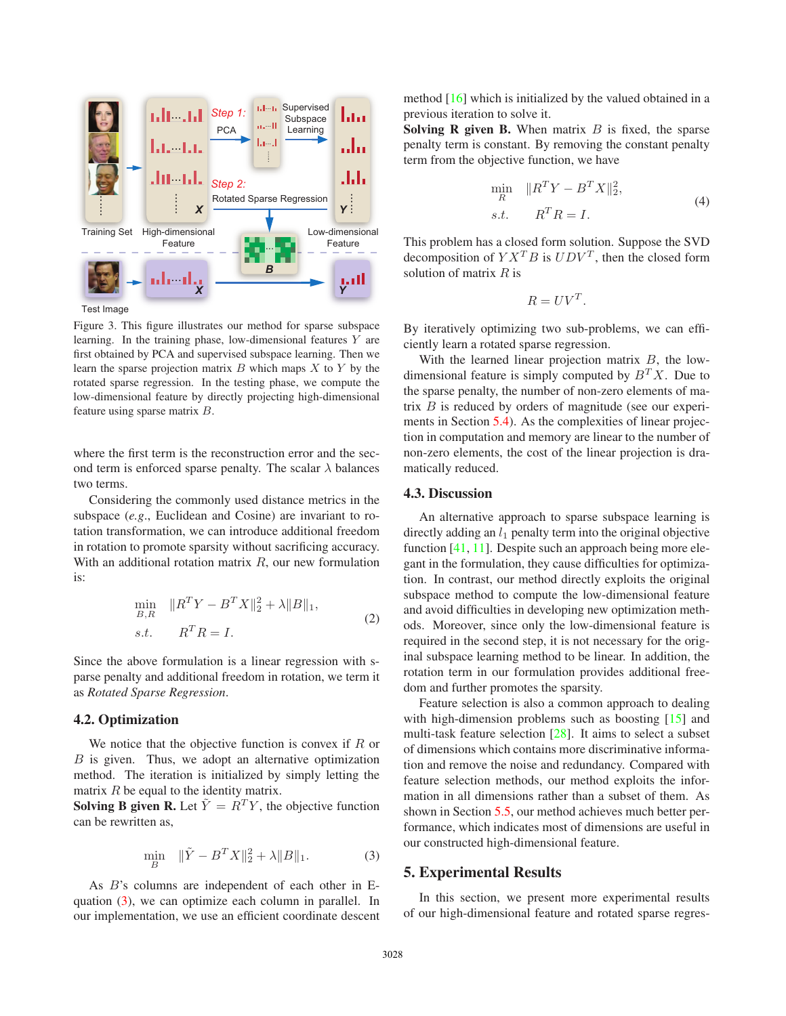

Figure 3. This figure illustrates our method for sparse subspace learning. In the training phase, low-dimensional features  $Y$  are first obtained by PCA and supervised subspace learning. Then we learn the sparse projection matrix  $B$  which maps  $X$  to  $Y$  by the rotated sparse regression. In the testing phase, we compute the low-dimensional feature by directly projecting high-dimensional feature using sparse matrix  $B$ .

where the first term is the reconstruction error and the second term is enforced sparse penalty. The scalar  $\lambda$  balances two terms.

Considering the commonly used distance metrics in the subspace (*e.g*., Euclidean and Cosine) are invariant to rotation transformation, we can introduce additional freedom in rotation to promote sparsity without sacrificing accuracy. With an additional rotation matrix  $R$ , our new formulation is:

$$
\min_{B,R} \|R^T Y - B^T X\|_2^2 + \lambda \|B\|_1,
$$
  
s.t.  $R^T R = I.$  (2)

Since the above formulation is a linear regression with sparse penalty and additional freedom in rotation, we term it as *Rotated Sparse Regression*.

#### **4.2. Optimization**

We notice that the objective function is convex if  $R$  or  $B$  is given. Thus, we adopt an alternative optimization method. The iteration is initialized by simply letting the matrix  $R$  be equal to the identity matrix.

**Solving B given R.** Let  $\tilde{Y} = R^T Y$ , the objective function can be rewritten as,

$$
\min_{B} \quad \|\tilde{Y} - B^{T}X\|_{2}^{2} + \lambda \|B\|_{1}.
$$
 (3)

As  $B$ 's columns are independent of each other in Equation (3), we can optimize each column in parallel. In our implementation, we use an efficient coordinate descent

method [16] which is initialized by the valued obtained in a previous iteration to solve it.

**Solving R given B.** When matrix  $B$  is fixed, the sparse penalty term is constant. By removing the constant penalty term from the objective function, we have

$$
\min_{R} \quad \|R^T Y - B^T X\|_2^2,
$$
\n
$$
s.t. \qquad R^T R = I.
$$
\n(4)

This problem has a closed form solution. Suppose the SVD decomposition of  $Y X^T B$  is  $UDV^T$ , then the closed form solution of matrix  $R$  is

$$
R = UV^T.
$$

By iteratively optimizing two sub-problems, we can efficiently learn a rotated sparse regression.

With the learned linear projection matrix  $B$ , the lowdimensional feature is simply computed by  $B<sup>T</sup>X$ . Due to the sparse penalty, the number of non-zero elements of matrix  $B$  is reduced by orders of magnitude (see our experiments in Section 5.4). As the complexities of linear projection in computation and memory are linear to the number of non-zero elements, the cost of the linear projection is dramatically reduced.

## **4.3. Discussion**

An alternative approach to sparse subspace learning is directly adding an  $l_1$  penalty term into the original objective function [41, 11]. Despite such an approach being more elegant in the formulation, they cause difficulties for optimization. In contrast, our method directly exploits the original subspace method to compute the low-dimensional feature and avoid difficulties in developing new optimization methods. Moreover, since only the low-dimensional feature is required in the second step, it is not necessary for the original subspace learning method to be linear. In addition, the rotation term in our formulation provides additional freedom and further promotes the sparsity.

Feature selection is also a common approach to dealing with high-dimension problems such as boosting [15] and multi-task feature selection [28]. It aims to select a subset of dimensions which contains more discriminative information and remove the noise and redundancy. Compared with feature selection methods, our method exploits the information in all dimensions rather than a subset of them. As shown in Section 5.5, our method achieves much better performance, which indicates most of dimensions are useful in our constructed high-dimensional feature.

## **5. Experimental Results**

In this section, we present more experimental results of our high-dimensional feature and rotated sparse regres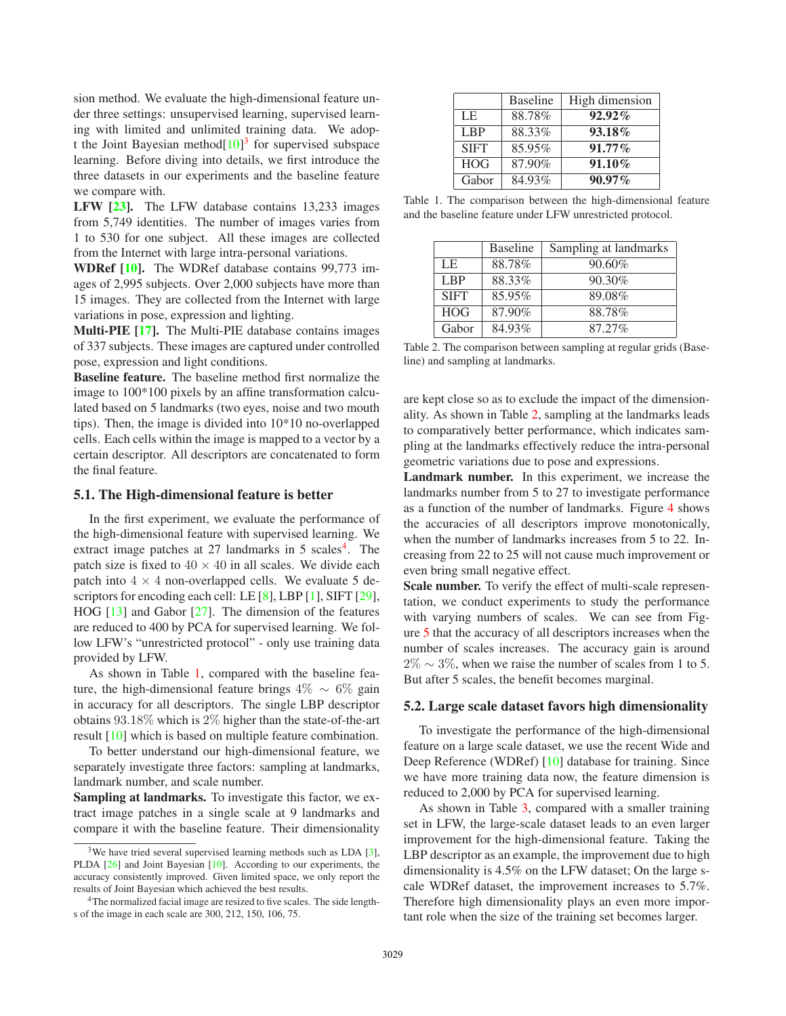sion method. We evaluate the high-dimensional feature under three settings: unsupervised learning, supervised learning with limited and unlimited training data. We adopt the Joint Bayesian method $[10]<sup>3</sup>$  for supervised subspace learning. Before diving into details, we first introduce the three datasets in our experiments and the baseline feature we compare with.

**LFW [23].** The LFW database contains 13,233 images from 5,749 identities. The number of images varies from 1 to 530 for one subject. All these images are collected from the Internet with large intra-personal variations.

**WDRef [10].** The WDRef database contains 99,773 images of 2,995 subjects. Over 2,000 subjects have more than 15 images. They are collected from the Internet with large variations in pose, expression and lighting.

**Multi-PIE [17].** The Multi-PIE database contains images of 337 subjects. These images are captured under controlled pose, expression and light conditions.

**Baseline feature.** The baseline method first normalize the image to 100\*100 pixels by an affine transformation calculated based on 5 landmarks (two eyes, noise and two mouth tips). Then, the image is divided into 10\*10 no-overlapped cells. Each cells within the image is mapped to a vector by a certain descriptor. All descriptors are concatenated to form the final feature.

#### **5.1. The High-dimensional feature is better**

In the first experiment, we evaluate the performance of the high-dimensional feature with supervised learning. We extract image patches at  $27$  landmarks in  $5$  scales<sup>4</sup>. The patch size is fixed to  $40 \times 40$  in all scales. We divide each patch into  $4 \times 4$  non-overlapped cells. We evaluate 5 descriptors for encoding each cell: LE [8], LBP [1], SIFT [29], HOG [13] and Gabor [27]. The dimension of the features are reduced to 400 by PCA for supervised learning. We follow LFW's "unrestricted protocol" - only use training data provided by LFW.

As shown in Table 1, compared with the baseline feature, the high-dimensional feature brings  $4\% \sim 6\%$  gain in accuracy for all descriptors. The single LBP descriptor obtains 93.18% which is 2% higher than the state-of-the-art result [10] which is based on multiple feature combination.

To better understand our high-dimensional feature, we separately investigate three factors: sampling at landmarks, landmark number, and scale number.

**Sampling at landmarks.** To investigate this factor, we extract image patches in a single scale at 9 landmarks and compare it with the baseline feature. Their dimensionality

|                 | <b>Baseline</b> | High dimension |
|-----------------|-----------------|----------------|
| LE              | 88.78%          | $92.92\%$      |
| L <sub>BP</sub> | 88.33%          | 93.18%         |
| <b>SIFT</b>     | 85.95%          | $91.77\%$      |
| <b>HOG</b>      | 87.90%          | $91.10\%$      |
| Gabor           | 84.93%          | $90.97\%$      |

Table 1. The comparison between the high-dimensional feature and the baseline feature under LFW unrestricted protocol.

|                 | <b>Baseline</b> | Sampling at landmarks |
|-----------------|-----------------|-----------------------|
| LE              | 88.78%          | 90.60%                |
| L <sub>BP</sub> | 88.33%          | 90.30%                |
| <b>SIFT</b>     | 85.95%          | 89.08%                |
| <b>HOG</b>      | 87.90%          | 88.78%                |
| Gabor           | 84.93%          | 87.27%                |

Table 2. The comparison between sampling at regular grids (Baseline) and sampling at landmarks.

are kept close so as to exclude the impact of the dimensionality. As shown in Table 2, sampling at the landmarks leads to comparatively better performance, which indicates sampling at the landmarks effectively reduce the intra-personal geometric variations due to pose and expressions.

**Landmark number.** In this experiment, we increase the landmarks number from 5 to 27 to investigate performance as a function of the number of landmarks. Figure 4 shows the accuracies of all descriptors improve monotonically, when the number of landmarks increases from 5 to 22. Increasing from 22 to 25 will not cause much improvement or even bring small negative effect.

**Scale number.** To verify the effect of multi-scale representation, we conduct experiments to study the performance with varying numbers of scales. We can see from Figure 5 that the accuracy of all descriptors increases when the number of scales increases. The accuracy gain is around  $2\% \sim 3\%$ , when we raise the number of scales from 1 to 5. But after 5 scales, the benefit becomes marginal.

#### **5.2. Large scale dataset favors high dimensionality**

To investigate the performance of the high-dimensional feature on a large scale dataset, we use the recent Wide and Deep Reference (WDRef) [10] database for training. Since we have more training data now, the feature dimension is reduced to 2,000 by PCA for supervised learning.

As shown in Table 3, compared with a smaller training set in LFW, the large-scale dataset leads to an even larger improvement for the high-dimensional feature. Taking the LBP descriptor as an example, the improvement due to high dimensionality is 4.5% on the LFW dataset; On the large scale WDRef dataset, the improvement increases to 5.7%. Therefore high dimensionality plays an even more important role when the size of the training set becomes larger.

 $3$ We have tried several supervised learning methods such as LDA [3], PLDA [26] and Joint Bayesian [10]. According to our experiments, the accuracy consistently improved. Given limited space, we only report the results of Joint Bayesian which achieved the best results.

<sup>&</sup>lt;sup>4</sup>The normalized facial image are resized to five scales. The side lengths of the image in each scale are 300, 212, 150, 106, 75.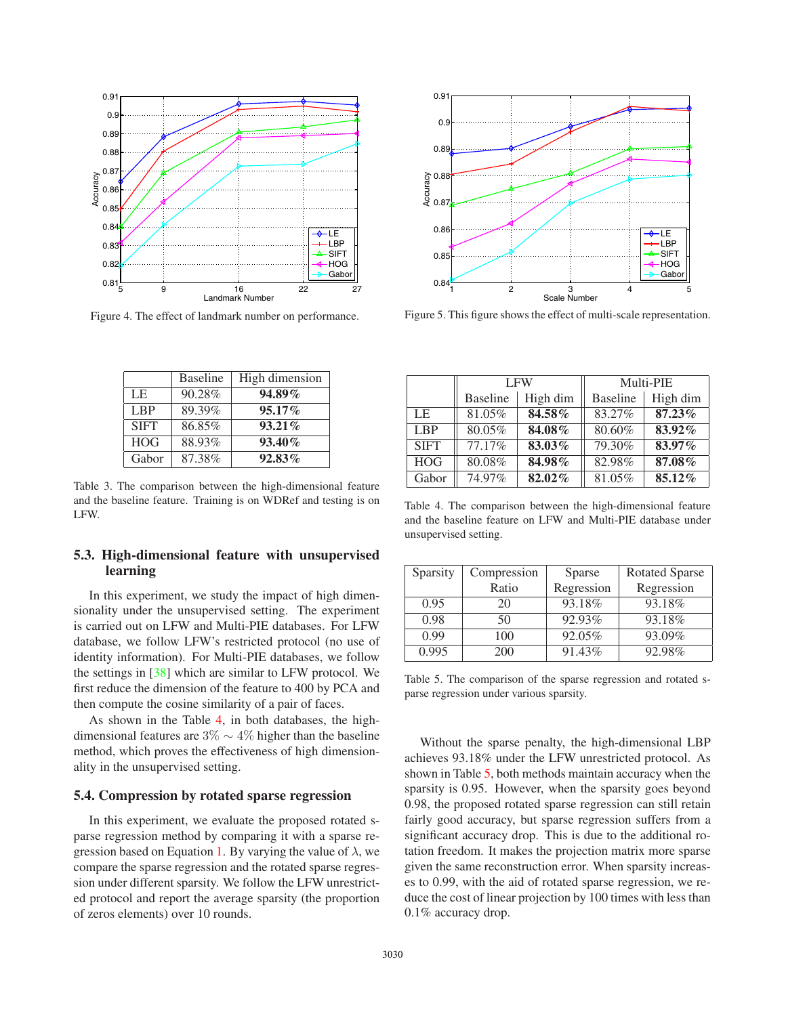

Figure 4. The effect of landmark number on performance.

|                 | <b>Baseline</b> | High dimension |
|-----------------|-----------------|----------------|
| LE              | 90.28%          | $94.89\%$      |
| L <sub>BP</sub> | 89.39%          | 95.17%         |
| <b>SIFT</b>     | 86.85%          | $93.21\%$      |
| <b>HOG</b>      | 88.93%          | 93.40%         |
| Gabor           | 87.38%          | $92.83\%$      |

Table 3. The comparison between the high-dimensional feature and the baseline feature. Training is on WDRef and testing is on LFW.

## **5.3. High-dimensional feature with unsupervised learning**

In this experiment, we study the impact of high dimensionality under the unsupervised setting. The experiment is carried out on LFW and Multi-PIE databases. For LFW database, we follow LFW's restricted protocol (no use of identity information). For Multi-PIE databases, we follow the settings in [38] which are similar to LFW protocol. We first reduce the dimension of the feature to 400 by PCA and then compute the cosine similarity of a pair of faces.

As shown in the Table 4, in both databases, the highdimensional features are  $3\% \sim 4\%$  higher than the baseline method, which proves the effectiveness of high dimensionality in the unsupervised setting.

## **5.4. Compression by rotated sparse regression**

In this experiment, we evaluate the proposed rotated sparse regression method by comparing it with a sparse regression based on Equation 1. By varying the value of  $\lambda$ , we compare the sparse regression and the rotated sparse regression under different sparsity. We follow the LFW unrestricted protocol and report the average sparsity (the proportion of zeros elements) over 10 rounds.



Figure 5. This figure shows the effect of multi-scale representation.

|             | <b>LFW</b>      |          | Multi-PIE       |           |
|-------------|-----------------|----------|-----------------|-----------|
|             | <b>Baseline</b> | High dim | <b>Baseline</b> | High dim  |
| LE          | 81.05%          | 84.58%   | 83.27%          | $87.23\%$ |
| <b>LBP</b>  | 80.05%          | 84.08%   | 80.60%          | 83.92%    |
| <b>SIFT</b> | 77.17%          | 83.03%   | 79.30%          | 83.97%    |
| <b>HOG</b>  | 80.08%          | 84.98%   | 82.98%          | 87.08%    |
| Gabor       | 74.97%          | 82.02%   | 81.05%          | 85.12%    |

Table 4. The comparison between the high-dimensional feature and the baseline feature on LFW and Multi-PIE database under unsupervised setting.

| Sparsity | Compression | Sparse     | <b>Rotated Sparse</b> |
|----------|-------------|------------|-----------------------|
|          | Ratio       | Regression | Regression            |
| 0.95     | 20          | 93.18%     | 93.18%                |
| 0.98     | 50          | 92.93%     | 93.18%                |
| 0.99     | 100         | 92.05%     | 93.09%                |
| 0.995    | 200         | 91.43%     | 92.98%                |

Table 5. The comparison of the sparse regression and rotated sparse regression under various sparsity.

Without the sparse penalty, the high-dimensional LBP achieves 93.18% under the LFW unrestricted protocol. As shown in Table 5, both methods maintain accuracy when the sparsity is 0.95. However, when the sparsity goes beyond 0.98, the proposed rotated sparse regression can still retain fairly good accuracy, but sparse regression suffers from a significant accuracy drop. This is due to the additional rotation freedom. It makes the projection matrix more sparse given the same reconstruction error. When sparsity increases to 0.99, with the aid of rotated sparse regression, we reduce the cost of linear projection by 100 times with less than 0.1% accuracy drop.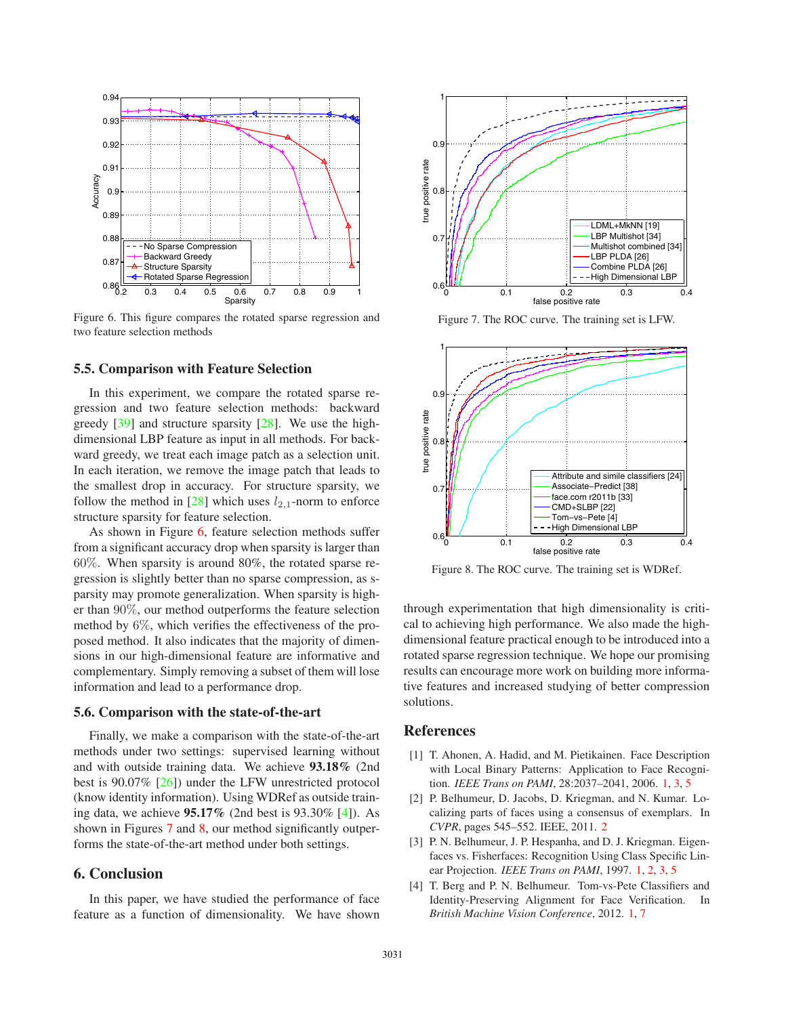

Figure 6. This figure compares the rotated sparse regression and two feature selection methods

#### **5.5. Comparison with Feature Selection**

In this experiment, we compare the rotated sparse regression and two feature selection methods: backward greedy [39] and structure sparsity [28]. We use the highdimensional LBP feature as input in all methods. For backward greedy, we treat each image patch as a selection unit. In each iteration, we remove the image patch that leads to the smallest drop in accuracy. For structure sparsity, we follow the method in [28] which uses  $l_{2,1}$ -norm to enforce structure sparsity for feature selection.

As shown in Figure 6, feature selection methods suffer from a significant accuracy drop when sparsity is larger than 60%. When sparsity is around 80%, the rotated sparse regression is slightly better than no sparse compression, as sparsity may promote generalization. When sparsity is higher than 90%, our method outperforms the feature selection method by 6%, which verifies the effectiveness of the proposed method. It also indicates that the majority of dimensions in our high-dimensional feature are informative and complementary. Simply removing a subset of them will lose information and lead to a performance drop.

## **5.6. Comparison with the state-of-the-art**

Finally, we make a comparison with the state-of-the-art methods under two settings: supervised learning without and with outside training data. We achieve **93.18%** (2nd best is 90.07% [26]) under the LFW unrestricted protocol (know identity information). Using WDRef as outside training data, we achieve **95.17%** (2nd best is 93.30% [4]). As shown in Figures 7 and 8, our method significantly outperforms the state-of-the-art method under both settings.

# **6. Conclusion**

In this paper, we have studied the performance of face feature as a function of dimensionality. We have shown



Figure 7. The ROC curve. The training set is LFW.



Figure 8. The ROC curve. The training set is WDRef.

through experimentation that high dimensionality is critical to achieving high performance. We also made the highdimensional feature practical enough to be introduced into a rotated sparse regression technique. We hope our promising results can encourage more work on building more informative features and increased studying of better compression solutions.

#### **References**

- [1] T. Ahonen, A. Hadid, and M. Pietikainen. Face Description with Local Binary Patterns: Application to Face Recognition. *IEEE Trans on PAMI*, 28:2037–2041, 2006. 1, 3, 5
- [2] P. Belhumeur, D. Jacobs, D. Kriegman, and N. Kumar. Localizing parts of faces using a consensus of exemplars. In *CVPR*, pages 545–552. IEEE, 2011. 2
- [3] P. N. Belhumeur, J. P. Hespanha, and D. J. Kriegman. Eigenfaces vs. Fisherfaces: Recognition Using Class Specific Linear Projection. *IEEE Trans on PAMI*, 1997. 1, 2, 3, 5
- [4] T. Berg and P. N. Belhumeur. Tom-vs-Pete Classifiers and Identity-Preserving Alignment for Face Verification. In *British Machine Vision Conference*, 2012. 1, 7